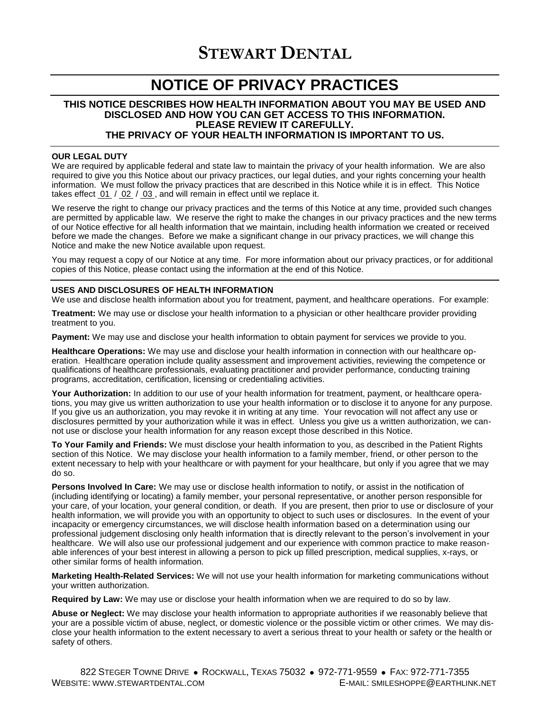# **NOTICE OF PRIVACY PRACTICES**

# **THIS NOTICE DESCRIBES HOW HEALTH INFORMATION ABOUT YOU MAY BE USED AND DISCLOSED AND HOW YOU CAN GET ACCESS TO THIS INFORMATION. PLEASE REVIEW IT CAREFULLY. THE PRIVACY OF YOUR HEALTH INFORMATION IS IMPORTANT TO US.**

## **OUR LEGAL DUTY**

We are required by applicable federal and state law to maintain the privacy of your health information. We are also required to give you this Notice about our privacy practices, our legal duties, and your rights concerning your health information. We must follow the privacy practices that are described in this Notice while it is in effect. This Notice takes effect 01 / 02 / 03 , and will remain in effect until we replace it.

We reserve the right to change our privacy practices and the terms of this Notice at any time, provided such changes are permitted by applicable law. We reserve the right to make the changes in our privacy practices and the new terms of our Notice effective for all health information that we maintain, including health information we created or received before we made the changes. Before we make a significant change in our privacy practices, we will change this Notice and make the new Notice available upon request.

You may request a copy of our Notice at any time. For more information about our privacy practices, or for additional copies of this Notice, please contact using the information at the end of this Notice.

## **USES AND DISCLOSURES OF HEALTH INFORMATION**

We use and disclose health information about you for treatment, payment, and healthcare operations. For example:

**Treatment:** We may use or disclose your health information to a physician or other healthcare provider providing treatment to you.

**Payment:** We may use and disclose your health information to obtain payment for services we provide to you.

**Healthcare Operations:** We may use and disclose your health information in connection with our healthcare operation. Healthcare operation include quality assessment and improvement activities, reviewing the competence or qualifications of healthcare professionals, evaluating practitioner and provider performance, conducting training programs, accreditation, certification, licensing or credentialing activities.

**Your Authorization:** In addition to our use of your health information for treatment, payment, or healthcare operations, you may give us written authorization to use your health information or to disclose it to anyone for any purpose. If you give us an authorization, you may revoke it in writing at any time. Your revocation will not affect any use or disclosures permitted by your authorization while it was in effect. Unless you give us a written authorization, we cannot use or disclose your health information for any reason except those described in this Notice.

**To Your Family and Friends:** We must disclose your health information to you, as described in the Patient Rights section of this Notice. We may disclose your health information to a family member, friend, or other person to the extent necessary to help with your healthcare or with payment for your healthcare, but only if you agree that we may do so.

**Persons Involved In Care:** We may use or disclose health information to notify, or assist in the notification of (including identifying or locating) a family member, your personal representative, or another person responsible for your care, of your location, your general condition, or death. If you are present, then prior to use or disclosure of your health information, we will provide you with an opportunity to object to such uses or disclosures. In the event of your incapacity or emergency circumstances, we will disclose health information based on a determination using our professional judgement disclosing only health information that is directly relevant to the person's involvement in your healthcare. We will also use our professional judgement and our experience with common practice to make reasonable inferences of your best interest in allowing a person to pick up filled prescription, medical supplies, x-rays, or other similar forms of health information.

**Marketing Health-Related Services:** We will not use your health information for marketing communications without your written authorization.

**Required by Law:** We may use or disclose your health information when we are required to do so by law.

**Abuse or Neglect:** We may disclose your health information to appropriate authorities if we reasonably believe that your are a possible victim of abuse, neglect, or domestic violence or the possible victim or other crimes. We may disclose your health information to the extent necessary to avert a serious threat to your health or safety or the health or safety of others.